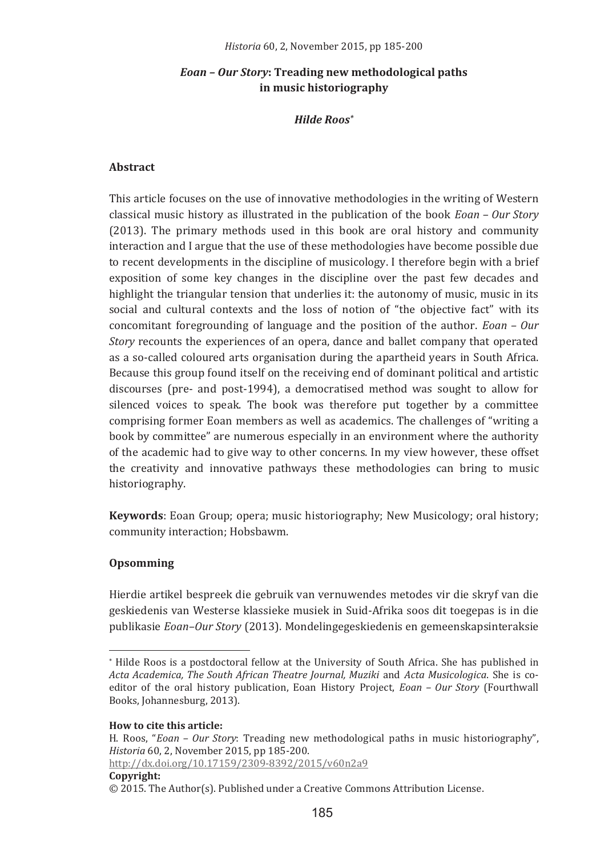## *Eoan – Our Story*: Treading new methodological paths **in music historiography**

## *Hilde�Roos\**

## **Abstract�**

This article focuses on the use of innovative methodologies in the writing of Western classical music history as illustrated in the publication of the book *Eoan – Our Story*  $(2013)$ . The primary methods used in this book are oral history and community interaction and I argue that the use of these methodologies have become possible due to recent developments in the discipline of musicology. I therefore begin with a brief exposition of some key changes in the discipline over the past few decades and highlight the triangular tension that underlies it: the autonomy of music, music in its social and cultural contexts and the loss of notion of "the objective fact" with its concomitant foregrounding of language and the position of the author. Eoan - Our Story recounts the experiences of an opera, dance and ballet company that operated as a so-called coloured arts organisation during the apartheid years in South Africa. Because this group found itself on the receiving end of dominant political and artistic discourses (pre- and post-1994), a democratised method was sought to allow for silenced voices to speak. The book was therefore put together by a committee comprising former Eoan members as well as academics. The challenges of "writing a book by committee" are numerous especially in an environment where the authority of the academic had to give way to other concerns. In my view however, these offset the creativity and innovative pathways these methodologies can bring to music historiography.

Keywords: Eoan Group; opera; music historiography; New Musicology; oral history; community interaction; Hobsbawm.

## **Opsomming�**

Hierdie artikel bespreek die gebruik van vernuwendes metodes vir die skryf van die geskiedenis van Westerse klassieke musiek in Suid-Afrika soos dit toegepas is in die publikasie *Eoan–Our Story* (2013). Mondelingegeskiedenis en gemeenskapsinteraksie

**How to cite this article:** 

<u> Alexandria de la contexta de la contexta de la contexta de la contexta de la contexta de la contexta de la c</u>

H. Roos, "Eoan - Our Story: Treading new methodological paths in music historiography", *Historia*

<u> http://dx.doi.org/10.17159/2309-8392/2015/v60n2a9</u>

**Copyright:**

filide Roos is a postdoctoral fellow at the University of South Africa. She has published in \*\* *Acta�Academica,�The�South�African�Theatre�Journal,�Muziki Acta�Musicologica*
editor of the oral history publication, Eoan History Project, *Eoan - Our Story* (Fourthwall Books, Johannesburg, 2013).

<sup>© 2015.</sup> The Author(s). Published under a Creative Commons Attribution License.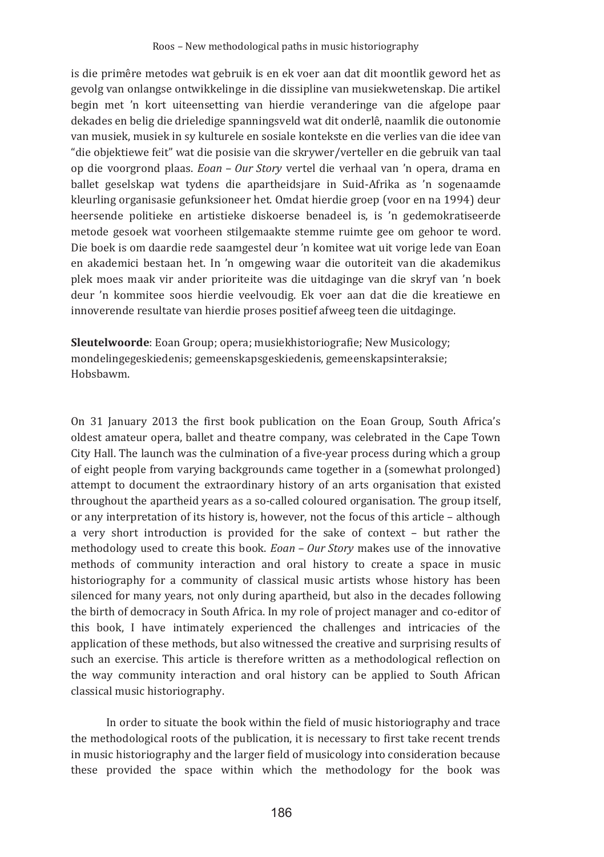is die primêre metodes wat gebruik is en ek voer aan dat dit moontlik geword het as gevolg van onlangse ontwikkelinge in die dissipline van musiekwetenskap. Die artikel begin met 'n kort uiteensetting van hierdie veranderinge van die afgelope paar dekades en belig die drieledige spanningsveld wat dit onderlê, naamlik die outonomie van musiek, musiek in sy kulturele en sosiale kontekste en die verlies van die idee van "die objektiewe feit" wat die posisie van die skrywer/verteller en die gebruik van taal op die voorgrond plaas. Eoan - Our Story vertel die verhaal van 'n opera, drama en ballet geselskap wat tydens die apartheidsjare in Suid-Afrika as 'n sogenaamde kleurling organisasie gefunksioneer het. Omdat hierdie groep (voor en na 1994) deur heersende politieke en artistieke diskoerse benadeel is, is 'n gedemokratiseerde metode gesoek wat voorheen stilgemaakte stemme ruimte gee om gehoor te word. Die boek is om daardie rede saamgestel deur 'n komitee wat uit vorige lede van Eoan en akademici bestaan het. In 'n omgewing waar die outoriteit van die akademikus plek moes maak vir ander prioriteite was die uitdaginge van die skryf van 'n boek deur 'n kommitee soos hierdie veelvoudig. Ek voer aan dat die die kreatiewe en innoverende resultate van hierdie proses positief afweeg teen die uitdaginge.

Sleutelwoorde: Eoan Group; opera; musiekhistoriografie; New Musicology; mondelingegeskiedenis; gemeenskapsgeskiedenis, gemeenskapsinteraksie; Hobsbawm.

On 31 January 2013 the first book publication on the Eoan Group, South Africa's oldest amateur opera, ballet and theatre company, was celebrated in the Cape Town City Hall. The launch was the culmination of a five-year process during which a group of eight people from varying backgrounds came together in a (somewhat prolonged) attempt to document the extraordinary history of an arts organisation that existed throughout the apartheid years as a so-called coloured organisation. The group itself, or any interpretation of its history is, however, not the focus of this article - although a very short introduction is provided for the sake of context - but rather the methodology used to create this book. Eoan - Our Story makes use of the innovative methods of community interaction and oral history to create a space in music historiography for a community of classical music artists whose history has been silenced for many years, not only during apartheid, but also in the decades following the birth of democracy in South Africa. In my role of project manager and co-editor of this book, I have intimately experienced the challenges and intricacies of the application of these methods, but also witnessed the creative and surprising results of such an exercise. This article is therefore written as a methodological reflection on the way community interaction and oral history can be applied to South African classical music historiography.

In order to situate the book within the field of music historiography and trace the methodological roots of the publication, it is necessary to first take recent trends in music historiography and the larger field of musicology into consideration because these provided the space within which the methodology for the book was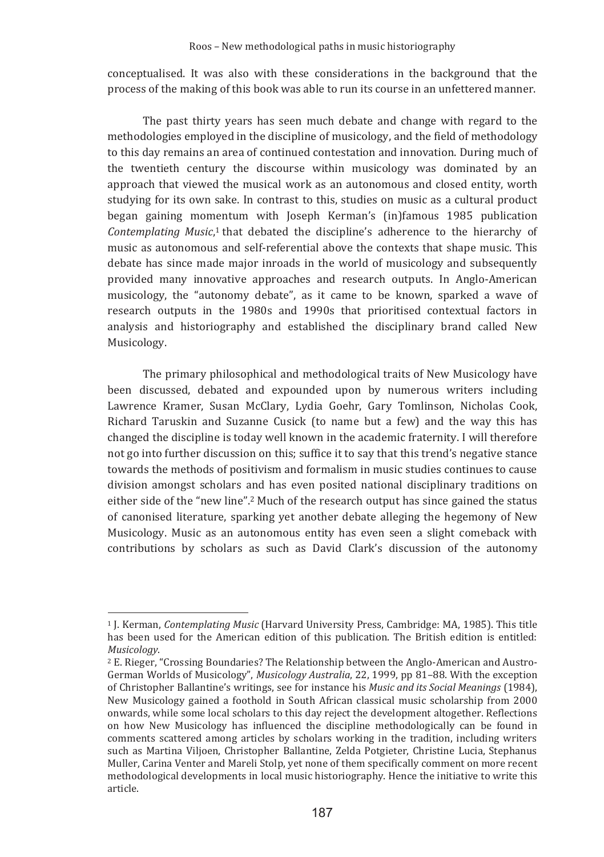conceptualised. It was also with these considerations in the background that the process of the making of this book was able to run its course in an unfettered manner.

The past thirty years has seen much debate and change with regard to the methodologies employed in the discipline of musicology, and the field of methodology to this day remains an area of continued contestation and innovation. During much of the twentieth century the discourse within musicology was dominated by an approach that viewed the musical work as an autonomous and closed entity, worth studying for its own sake. In contrast to this, studies on music as a cultural product began gaining momentum with Joseph Kerman's (inJiamous 1985 publication Contemplating Music,<sup>1</sup> that debated the discipline's adherence to the hierarchy of music as autonomous and self-referential above the contexts that shape music. This debate has since made major inroads in the world of musicology and subsequently provided many innovative approaches and research outputs. In Anglo-American musicology, the "autonomy debate", as it came to be known, sparked a wave of research outputs in the 1980s and 1990s that prioritised contextual factors in analysis and historiography and established the disciplinary brand called New Musicology.

The primary philosophical and methodological traits of New Musicology have been discussed, debated and expounded upon by numerous writers including Lawrence Kramer, Susan McClary, Lydia Goehr, Gary Tomlinson, Nicholas Cook, Richard Taruskin and Suzanne Cusick (to name but a few) and the way this has changed the discipline is today well known in the academic fraternity. I will therefore not go into further discussion on this; suffice it to say that this trend's negative stance towards the methods of positivism and formalism in music studies continues to cause division amongst scholars and has even posited national disciplinary traditions on either side of the "new line".<sup>2</sup> Much of the research output has since gained the status of canonised literature, sparking yet another debate alleging the hegemony of New Musicology. Music as an autonomous entity has even seen a slight comeback with contributions by scholars as such as David Clark's discussion of the autonomy

<sup>&</sup>lt;sup>1</sup> J. Kerman, *Contemplating Music* (Harvard University Press, Cambridge: MA, 1985). This title has been used for the American edition of this publication. The British edition is entitled: *Musicology*

<sup>&</sup>lt;sup>2</sup> E. Rieger. "Crossing Boundaries? The Relationship between the Anglo-American and Austro-German Worlds of Musicology", Musicology Australia, 22, 1999, pp 81-88. With the exception of Christopher Ballantine's writings, see for instance his Music and its Social Meanings (1984), New Musicology gained a foothold in South African classical music scholarship from 2000 onwards, while some local scholars to this day reject the development altogether. Reflections on how New Musicology has influenced the discipline methodologically can be found in comments scattered among articles by scholars working in the tradition, including writers such as Martina Viljoen, Christopher Ballantine, Zelda Potgieter, Christine Lucia, Stephanus Muller, Carina Venter and Mareli Stolp, yet none of them specifically comment on more recent methodological developments in local music historiography. Hence the initiative to write this article.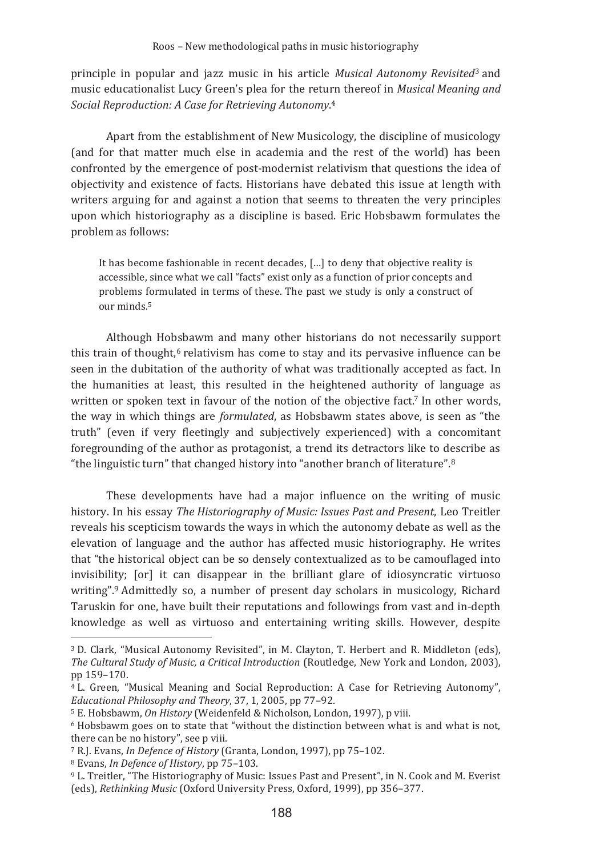principle in popular and jazz music in his article *Musical Autonomy Revisited*<sup>3</sup> and music educationalist Lucy Green's plea for the return thereof in Musical Meaning and Social Reproduction: A Case for Retrieving Autonomy.<sup>4</sup>

Apart from the establishment of New Musicology, the discipline of musicology (and for that matter much else in academia and the rest of the world) has been confronted by the emergence of post-modernist relativism that questions the idea of objectivity and existence of facts. Historians have debated this issue at length with writers arguing for and against a notion that seems to threaten the very principles upon which historiography as a discipline is based. Eric Hobsbawm formulates the problem as follows:

It has become fashionable in recent decades, [...] to deny that objective reality is accessible, since what we call "facts" exist only as a function of prior concepts and problems formulated in terms of these. The past we study is only a construct of our minds.<sup>5</sup>

Although Hobsbawm and many other historians do not necessarily support this train of thought,<sup>6</sup> relativism has come to stay and its pervasive influence can be seen in the dubitation of the authority of what was traditionally accepted as fact. In the humanities at least, this resulted in the heightened authority of language as written or spoken text in favour of the notion of the objective fact.<sup>7</sup> In other words, the way in which things are *formulated*, as Hobsbawm states above, is seen as "the truth" (even if very fleetingly and subjectively experienced) with a concomitant foregrounding of the author as protagonist, a trend its detractors like to describe as "the linguistic turn" that changed history into "another branch of literature".<sup>8</sup>

These developments have had a major influence on the writing of music history. In his essay The Historiography of Music: Issues Past and Present, Leo Treitler reveals his scepticism towards the ways in which the autonomy debate as well as the elevation of language and the author has affected music historiography. He writes that "the historical object can be so densely contextualized as to be camouflaged into invisibility; [or] it can disappear in the brilliant glare of idiosyncratic virtuoso writing".<sup>9</sup> Admittedly so, a number of present day scholars in musicology, Richard Taruskin for one, have built their reputations and followings from vast and in-depth knowledge as well as virtuoso and entertaining writing skills. However, despite

<sup>7</sup> R.I. Evans. *In Defence of History* (Granta, London, 1997), pp 75-102.

<sup>8</sup> Evans, *In Defence of History*, pp 75-103.

<sup>&</sup>lt;sup>3</sup> D. Clark. "Musical Autonomy Revisited", in M. Clayton, T. Herbert and R. Middleton (eds), The Cultural Study of Music, a Critical Introduction (Routledge, New York and London, 2003), pp 159-170.

<sup>&</sup>lt;sup>4</sup> L. Green, "Musical Meaning and Social Reproduction: A Case for Retrieving Autonomy", Educational Philosophy and Theory, 37, 1, 2005, pp 77-92.

<sup>&</sup>lt;sup>5</sup> E. Hobsbawm, On History (Weidenfeld & Nicholson, London, 1997), p viii.

<sup>&</sup>lt;sup>6</sup> Hobsbawm goes on to state that "without the distinction between what is and what is not, there can be no history", see p viii.

<sup>&</sup>lt;sup>9</sup> L. Treitler. "The Historiography of Music: Issues Past and Present". in N. Cook and M. Everist (eds), Rethinking Music (Oxford University Press, Oxford, 1999), pp 356-377.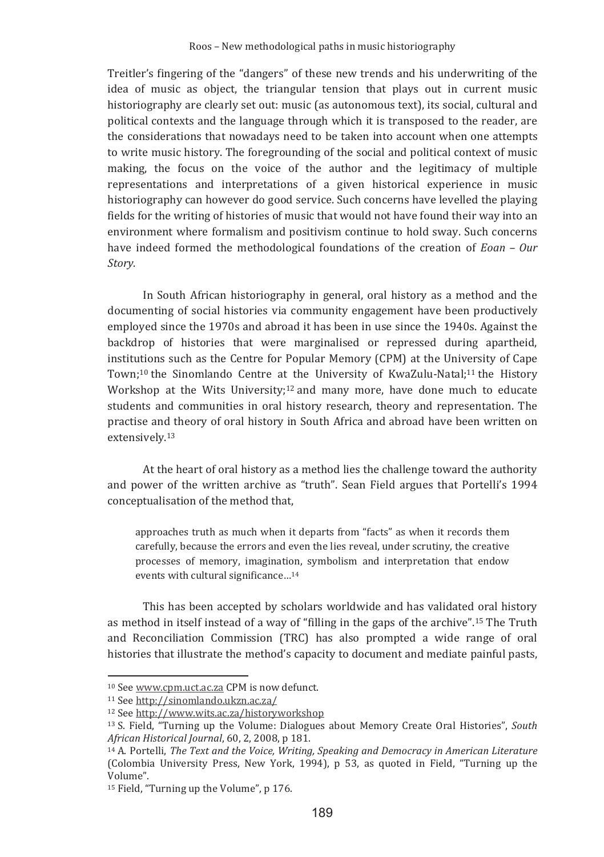Treitler's fingering of the "dangers" of these new trends and his underwriting of the idea of music as object, the triangular tension that plays out in current music historiography are clearly set out: music (as autonomous text), its social, cultural and political contexts and the language through which it is transposed to the reader, are the considerations that nowadays need to be taken into account when one attempts to write music history. The foregrounding of the social and political context of music making, the focus on the voice of the author and the legitimacy of multiple representations and interpretations of a given historical experience in music historiography can however do good service. Such concerns have levelled the playing fields for the writing of histories of music that would not have found their way into an environment where formalism and positivism continue to hold sway. Such concerns have indeed formed the methodological foundations of the creation of Eoan - Our Storv.

In South African historiography in general, oral history as a method and the documenting of social histories via community engagement have been productively employed since the 1970s and abroad it has been in use since the 1940s. Against the backdrop of histories that were marginalised or repressed during apartheid, institutions such as the Centre for Popular Memory (CPM) at the University of Cape Town:<sup>10</sup> the Sinomlando Centre at the University of KwaZulu-Natal:<sup>11</sup> the History Workshop at the Wits University;<sup>12</sup> and many more, have done much to educate students and communities in oral history research, theory and representation. The practise and theory of oral history in South Africa and abroad have been written on extensively.<sup>13</sup>

At the heart of oral history as a method lies the challenge toward the authority and power of the written archive as "truth". Sean Field argues that Portelli's 1994 conceptualisation of the method that,

approaches truth as much when it departs from "facts" as when it records them carefully, because the errors and even the lies reveal, under scrutiny, the creative processes of memory, imagination, symbolism and interpretation that endow events with cultural significance...<sup>14</sup>

This has been accepted by scholars worldwide and has validated oral history as method in itself instead of a way of "filling in the gaps of the archive".<sup>15</sup> The Truth and Reconciliation Commission (TRC) has also prompted a wide range of oral histories that illustrate the method's capacity to document and mediate painful pasts,

<sup>&</sup>lt;sup>10</sup> See www.cpm.uct.ac.za CPM is now defunct.

<sup>&</sup>lt;sup>11</sup> See http://sinomlando.ukzn.ac.za/

<sup>&</sup>lt;sup>12</sup> See http://www.wits.ac.za/historyworkshop

<sup>&</sup>lt;sup>13</sup> S. Field, "Turning up the Volume: Dialogues about Memory Create Oral Histories", South African Historical Journal, 60, 2, 2008, p 181.

<sup>&</sup>lt;sup>14</sup> A. Portelli, *The Text and the Voice, Writing, Speaking and Democracy in American Literature* (Colombia University Press, New York, 1994), p 53, as quoted in Field, "Turning up the Volume".

<sup>&</sup>lt;sup>15</sup> Field, "Turning up the Volume", p 176.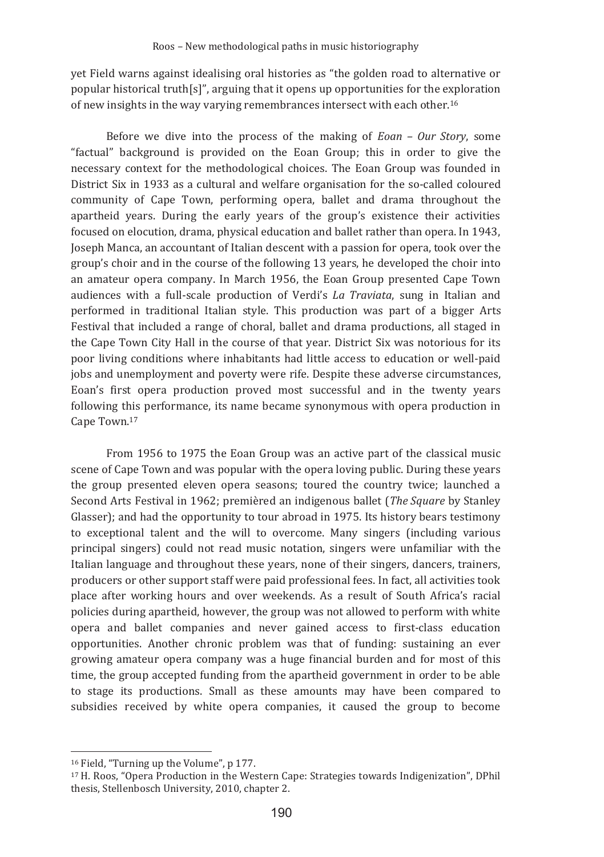yet Field warns against idealising oral histories as "the golden road to alternative or popular historical truth[s]", arguing that it opens up opportunities for the exploration of new insights in the way varying remembrances intersect with each other.<sup>16</sup>

Before we dive into the process of the making of Eoan - Our Story, some "factual" background is provided on the Eoan Group; this in order to give the necessary context for the methodological choices. The Eoan Group was founded in District Six in 1933 as a cultural and welfare organisation for the so-called coloured community of Cape Town, performing opera, ballet and drama throughout the apartheid years. During the early years of the group's existence their activities focused on elocution, drama, physical education and ballet rather than opera. In 1943, Joseph Manca, an accountant of Italian descent with a passion for opera, took over the group's choir and in the course of the following 13 years, he developed the choir into an amateur opera company. In March 1956, the Eoan Group presented Cape Town audiences with a full-scale production of Verdi's La Traviata, sung in Italian and performed in traditional Italian style. This production was part of a bigger Arts Festival that included a range of choral, ballet and drama productions, all staged in the Cape Town City Hall in the course of that year. District Six was notorious for its poor living conditions where inhabitants had little access to education or well-paid jobs and unemployment and poverty were rife. Despite these adverse circumstances, Eoan's first opera production proved most successful and in the twenty years following this performance, its name became synonymous with opera production in Cape Town.<sup>17</sup>

From 1956 to 1975 the Eoan Group was an active part of the classical music scene of Cape Town and was popular with the opera loving public. During these years the group presented eleven opera seasons; toured the country twice; launched a Second Arts Festival in 1962; premièred an indigenous ballet (The Square by Stanley Glasser): and had the opportunity to tour abroad in 1975. Its history bears testimony to exceptional talent and the will to overcome. Many singers (including various principal singers) could not read music notation, singers were unfamiliar with the Italian language and throughout these years, none of their singers, dancers, trainers, producers or other support staff were paid professional fees. In fact, all activities took place after working hours and over weekends. As a result of South Africa's racial policies during apartheid, however, the group was not allowed to perform with white opera and ballet companies and never gained access to first-class education opportunities. Another chronic problem was that of funding: sustaining an ever growing amateur opera company was a huge financial burden and for most of this time, the group accepted funding from the apartheid government in order to be able to stage its productions. Small as these amounts may have been compared to subsidies received by white opera companies, it caused the group to become

<sup>&</sup>lt;sup>16</sup> Field, "Turning up the Volume", p 177.

<sup>&</sup>lt;sup>17</sup> H. Roos, "Opera Production in the Western Cape: Strategies towards Indigenization". DPhil thesis, Stellenbosch University, 2010, chapter 2.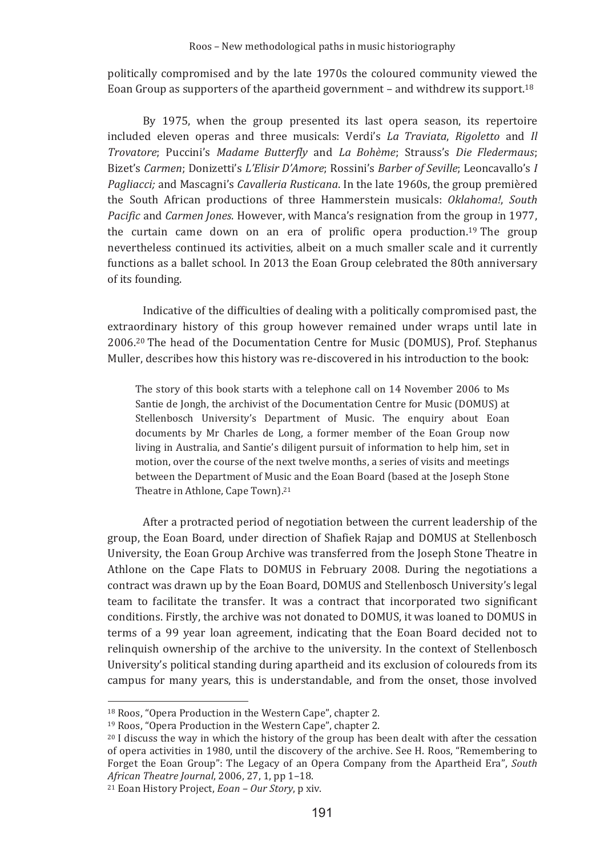politically compromised and by the late 1970s the coloured community viewed the Eoan Group as supporters of the apartheid government – and withdrew its support.<sup>18</sup>

By 1975, when the group presented its last opera season, its repertoire included eleven operas and three musicals: Verdi's La Traviata, Rigoletto and Il Trovatore; Puccini's Madame Butterfly and La Bohème; Strauss's Die Fledermaus; Bizet's Carmen: Donizetti's L'Elisir D'Amore: Rossini's Barber of Seville: Leoncavallo's I Pagliacci; and Mascagni's Cavalleria Rusticana. In the late 1960s, the group premièred the South African productions of three Hammerstein musicals: Oklahoma!, South Pacific and Carmen Jones. However, with Manca's resignation from the group in 1977, the curtain came down on an era of prolific opera production.<sup>19</sup> The group nevertheless continued its activities, albeit on a much smaller scale and it currently functions as a bailet school. In 2013 the Boan Group celebrated the 80th anniversary of its founding.

Indicative of the difficulties of dealing with a politically compromised past, the extraordinary history of this group however remained under wraps until late in 2006.<sup>20</sup> The head of the Documentation Centre for Music (DOMUS), Prof. Stephanus Muller, describes how this history was re-discovered in his introduction to the book:

The story of this book starts with a telephone call on 14 November 2006 to Ms Santie de Jongh, the archivist of the Documentation Centre for Music (DOMUS) at Stellenbosch University's Department of Music. The enquiry about Eoan documents by Mr Charles de Long, a former member of the Eoan Group now living in Australia, and Santie's diligent pursuit of information to help him, set in motion, over the course of the next twelve months, a series of visits and meetings between the Department of Music and the Eoan Board (based at the Joseph Stone Theatre in Athlone. Cape Town).<sup>21</sup>

After a protracted period of negotiation between the current leadership of the group, the Eoan Board, under direction of Shafiek Rajap and DOMUS at Stellenbosch University, the Eoan Group Archive was transferred from the Joseph Stone Theatre in Athlone on the Cape Flats to DOMUS in February 2008. During the negotiations a contract was drawn up by the Eoan Board, DOMUS and Stellenbosch University's legal team to facilitate the transfer. It was a contract that incorporated two significant conditions. Firstly, the archive was not donated to DOMUS, it was loaned to DOMUS in terms of a 99 year loan agreement, indicating that the Eoan Board decided not to relinquish ownership of the archive to the university. In the context of Stellenbosch University's political standing during apartheid and its exclusion of coloureds from its campus for many years, this is understandable, and from the onset, those involved

<sup>&</sup>lt;sup>18</sup> Roos, "Opera Production in the Western Cape", chapter 2.

<sup>&</sup>lt;sup>19</sup> Roos, "Opera Production in the Western Cape", chapter 2.

<sup>&</sup>lt;sup>20</sup> I discuss the way in which the history of the group has been dealt with after the cessation of opera activities in 1980, until the discovery of the archive. See H. Roos, "Remembering to Forget the Eoan Group": The Legacy of an Opera Company from the Apartheid Era", South *African Theatre Journal*, 2006, 27, 1, pp 1-18.

<sup>&</sup>lt;sup>21</sup> Eoan History Project, *Eoan - Our Story*, p xiv.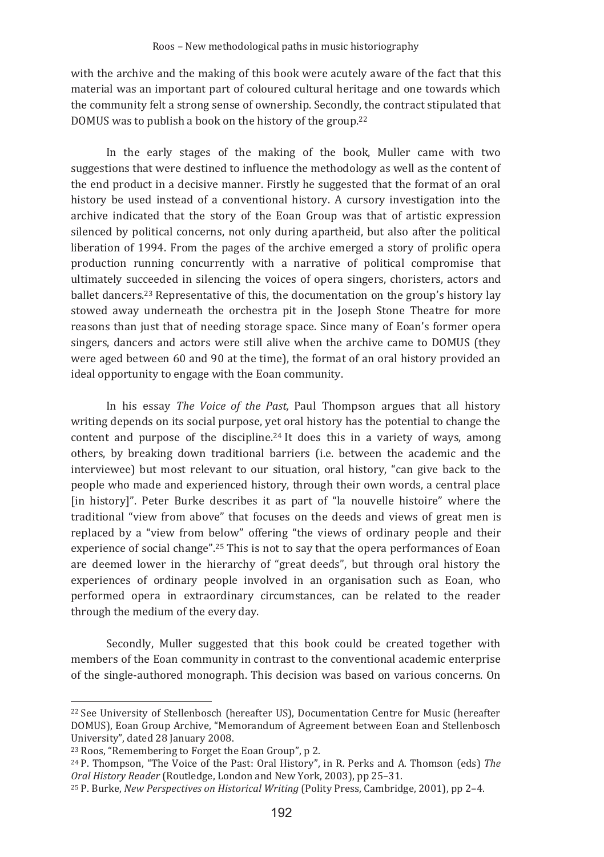with the archive and the making of this book were acutely aware of the fact that this material was an important part of coloured cultural heritage and one towards which the community felt a strong sense of ownership. Secondly, the contract stipulated that DOMUS was to publish a book on the history of the group.<sup>22</sup>

In the early stages of the making of the book, Muller came with two suggestions that were destined to influence the methodology as well as the content of the end product in a decisive manner. Firstly he suggested that the format of an oral history be used instead of a conventional history. A cursory investigation into the archive indicated that the story of the Eoan Group was that of artistic expression silenced by political concerns, not only during apartheid, but also after the political liberation of 1994. From the pages of the archive emerged a story of prolific opera production running concurrently with a narrative of political compromise that ultimately succeeded in silencing the voices of opera singers, choristers, actors and ballet dancers.<sup>23</sup> Representative of this, the documentation on the group's history lay stowed away underneath the orchestra pit in the Joseph Stone Theatre for more reasons than just that of needing storage space. Since many of Eoan's former opera singers, dancers and actors were still alive when the archive came to DOMUS (they were aged between 60 and 90 at the time), the format of an oral history provided an ideal opportunity to engage with the Eoan community.

In his essay The Voice of the Past, Paul Thompson argues that all history writing depends on its social purpose, vet oral history has the potential to change the content and purpose of the discipline.<sup>24</sup> It does this in a variety of ways, among others, by breaking down traditional barriers (i.e. between the academic and the interviewee) but most relevant to our situation, oral history, "can give back to the people who made and experienced history, through their own words, a central place [in history]". Peter Burke describes it as part of "la nouvelle histoire" where the traditional "view from above" that focuses on the deeds and views of great men is replaced by a "view from below" offering "the views of ordinary people and their experience of social change".<sup>25</sup> This is not to say that the opera performances of Eoan are deemed lower in the hierarchy of "great deeds", but through oral history the experiences of ordinary people involved in an organisation such as Eoan, who performed opera in extraordinary circumstances, can be related to the reader through the medium of the every day.

Secondly, Muller suggested that this book could be created together with members of the Eoan community in contrast to the conventional academic enterprise of the single-authored monograph. This decision was based on various concerns. On

<sup>&</sup>lt;sup>22</sup> See University of Stellenbosch (hereafter US), Documentation Centre for Music (hereafter DOMUS), Eoan Group Archive, "Memorandum of Agreement between Eoan and Stellenbosch University", dated 28 January 2008.

<sup>&</sup>lt;sup>23</sup> Roos, "Remembering to Forget the Eoan Group", p 2.

<sup>&</sup>lt;sup>24</sup> P. Thompson, "The Voice of the Past: Oral History", in R. Perks and A. Thomson (eds) The Oral History Reader (Routledge, London and New York, 2003), pp 25-31.

<sup>&</sup>lt;sup>25</sup> P. Burke, New Perspectives on Historical Writing (Polity Press, Cambridge, 2001), pp 2-4.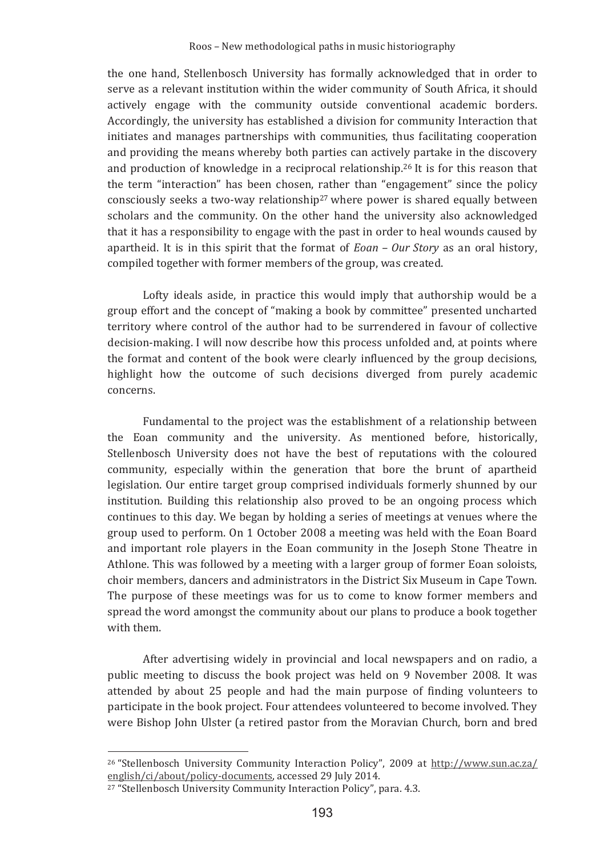the one hand, Stellenbosch University has formally acknowledged that in order to serve as a relevant institution within the wider community of South Africa, it should actively engage with the community outside conventional academic borders. Accordingly, the university has established a division for community Interaction that initiates and manages partnerships with communities, thus facilitating cooperation and providing the means whereby both parties can actively partake in the discovery and production of knowledge in a reciprocal relationship.<sup>26</sup> It is for this reason that the term "interaction" has been chosen, rather than "engagement" since the policy consciously seeks a two-way relationship<sup>27</sup> where power is shared equally between scholars and the community. On the other hand the university also acknowledged that it has a responsibility to engage with the past in order to heal wounds caused by apartheid. It is in this spirit that the format of  $Eoan - Our Story$  as an oral history, compiled together with former members of the group, was created.

Lofty ideals aside, in practice this would imply that authorship would be a group effort and the concept of "making a book by committee" presented uncharted territory where control of the author had to be surrendered in favour of collective decision-making. I will now describe how this process unfolded and, at points where the format and content of the book were clearly influenced by the group decisions, highlight how the outcome of such decisions diverged from purely academic concerns

Fundamental to the project was the establishment of a relationship between the Eoan community and the university. As mentioned before, historically, Stellenbosch University does not have the best of reputations with the coloured community, especially within the generation that bore the brunt of apartheid legislation. Our entire target group comprised individuals formerly shunned by our institution. Building this relationship also proved to be an ongoing process which continues to this day. We began by holding a series of meetings at venues where the group used to perform. On 1 October 2008 a meeting was held with the Eoan Board and important role players in the Eoan community in the Joseph Stone Theatre in Athlone. This was followed by a meeting with a larger group of former Eoan soloists, choir members, dancers and administrators in the District Six Museum in Cape Town. The purpose of these meetings was for us to come to know former members and spread the word amongst the community about our plans to produce a book together with them.

After advertising widely in provincial and local newspapers and on radio, a public meeting to discuss the book project was held on 9 November 2008. It was attended by about 25 people and had the main purpose of finding volunteers to participate in the book project. Four attendees volunteered to become involved. They were Bishop John Ulster (a retired pastor from the Moravian Church, born and bred

<sup>&</sup>lt;sup>26</sup> "Stellenbosch University Community Interaction Policy", 2009 at http://www.sun.ac.za/ english/ci/about/policy-documents, accessed 29 July 2014.

<sup>&</sup>lt;sup>27</sup> "Stellenbosch University Community Interaction Policy", para. 4.3.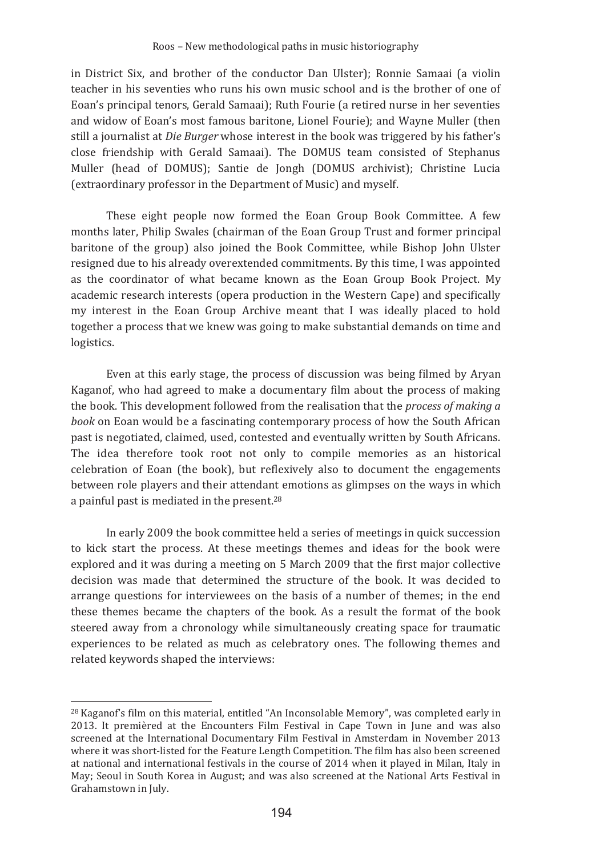in District Six, and brother of the conductor Dan Ulster); Ronnie Samaai (a violin teacher in his seventies who runs his own music school and is the brother of one of Eoan's principal tenors, Gerald Samaai): Ruth Fourie (a retired nurse in her seventies and widow of Eoan's most famous baritone, Lionel Fourie); and Wayne Muller (then still a journalist at Die Burger whose interest in the book was triggered by his father's close friendship with Gerald Samaai). The DOMUS team consisted of Stephanus Muller (head of DOMUS): Santie de Jongh (DOMUS archivist): Christine Lucia (extraordinary professor in the Department of Music) and myself.

These eight people now formed the Eoan Group Book Committee. A few months later, Philip Swales (chairman of the Eoan Group Trust and former principal baritone of the group) also joined the Book Committee, while Bishop John Ulster resigned due to his already overextended commitments. By this time, I was appointed as the coordinator of what became known as the Eoan Group Book Project. My academic research interests (opera production in the Western Cape) and specifically my interest in the Eoan Group Archive meant that I was ideally placed to hold together a process that we knew was going to make substantial demands on time and logistics.

Even at this early stage, the process of discussion was being filmed by Arvan Kaganof, who had agreed to make a documentary film about the process of making the book. This development followed from the realisation that the process of making a book on Eoan would be a fascinating contemporary process of how the South African past is negotiated, claimed, used, contested and eventually written by South Africans. The idea therefore took root not only to compile memories as an historical celebration of Eoan (the book), but reflexively also to document the engagements between role players and their attendant emotions as glimpses on the ways in which a painful past is mediated in the present.<sup>28</sup>

In early 2009 the book committee held a series of meetings in quick succession to kick start the process. At these meetings themes and ideas for the book were explored and it was during a meeting on 5 March 2009 that the first major collective decision was made that determined the structure of the book. It was decided to arrange questions for interviewees on the basis of a number of themes; in the end these themes became the chapters of the book. As a result the format of the book steered away from a chronology while simultaneously creating space for traumatic experiences to be related as much as celebratory ones. The following themes and related keywords shaped the interviews:

<sup>&</sup>lt;sup>28</sup> Kaganof's film on this material, entitled "An Inconsolable Memory", was completed early in 2013. It premièred at the Encounters Film Festival in Cape Town in June and was also screened at the International Documentary Film Festival in Amsterdam in November 2013 where it was short-listed for the Feature Length Competition. The film has also been screened at national and international festivals in the course of 2014 when it played in Milan, Italy in May; Seoul in South Korea in August; and was also screened at the National Arts Festival in Grahamstown in July.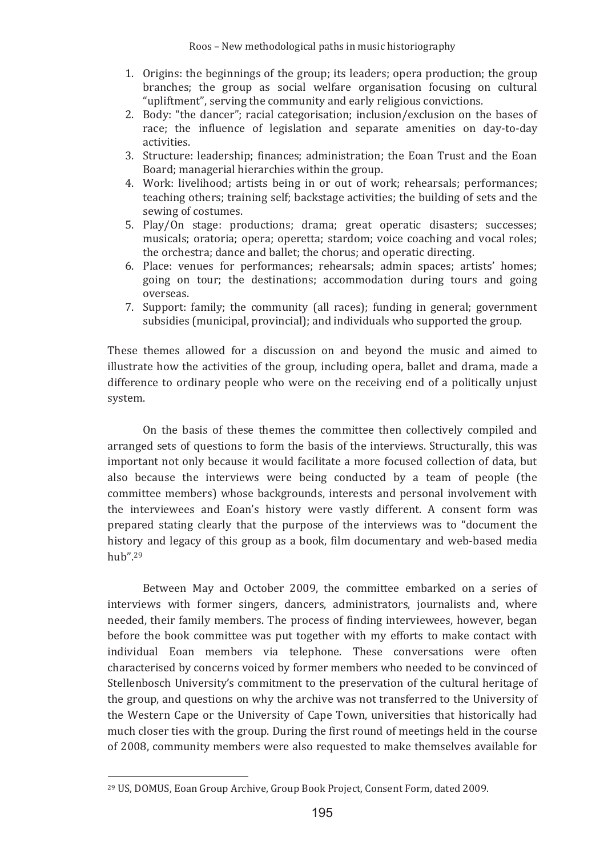- 1. Origins: the beginnings of the group; its leaders; opera production; the group branches; the group as social welfare organisation focusing on cultural "upliftment", serving the community and early religious convictions.
- 2. Body: "the dancer"; racial categorisation; inclusion/exclusion on the bases of race; the influence of legislation and separate amenities on day-to-day activities.
- 3. Structure: leadership; finances; administration; the Eoan Trust and the Eoan Board; managerial hierarchies within the group.
- 4. Work: livelihood; artists being in or out of work; rehearsals; performances; teaching others; training self; backstage activities; the building of sets and the sewing of costumes.
- 5. Play/On stage: productions; drama; great operatic disasters; successes; musicals; oratoria; opera; operetta; stardom; voice coaching and vocal roles; the orchestra: dance and ballet: the chorus: and operatic directing.
- 6. Place: venues for performances; rehearsals; admin spaces; artists' homes; going on tour; the destinations; accommodation during tours and going overseas.
- 7. Support: family; the community (all races); funding in general; government subsidies (municipal, provincial); and individuals who supported the group.

These themes allowed for a discussion on and beyond the music and aimed to illustrate how the activities of the group, including opera, ballet and drama, made a difference to ordinary people who were on the receiving end of a politically unjust system.

On the basis of these themes the committee then collectively compiled and arranged sets of questions to form the basis of the interviews. Structurally, this was important not only because it would facilitate a more focused collection of data, but also because the interviews were being conducted by a team of people (the committee members) whose backgrounds, interests and personal involvement with the interviewees and Eoan's history were vastly different. A consent form was prepared stating clearly that the purpose of the interviews was to "document the history and legacy of this group as a book, film documentary and web-based media  $huh''$  29

Between May and October 2009, the committee embarked on a series of interviews with former singers, dancers, administrators, journalists and, where needed, their family members. The process of finding interviewees, however, began before the book committee was put together with my efforts to make contact with individual Eoan members via telephone. These conversations were often characterised by concerns voiced by former members who needed to be convinced of Stellenbosch University's commitment to the preservation of the cultural heritage of the group, and questions on why the archive was not transferred to the University of the Western Cape or the University of Cape Town, universities that historically had much closer ties with the group. During the first round of meetings held in the course of 2008, community members were also requested to make themselves available for

<sup>&</sup>lt;sup>29</sup> US, DOMUS, Eoan Group Archive, Group Book Project, Consent Form, dated 2009.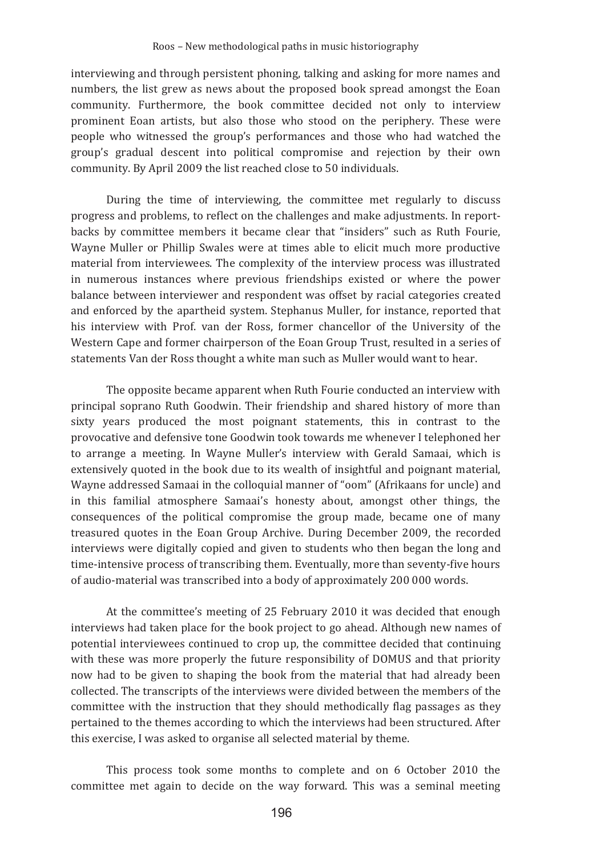interviewing and through persistent phoning, talking and asking for more names and numbers, the list grew as news about the proposed book spread amongst the Eoan community. Furthermore, the book committee decided not only to interview prominent Eoan artists, but also those who stood on the periphery. These were people who witnessed the group's performances and those who had watched the group's gradual descent into political compromise and rejection by their own community. By April 2009 the list reached close to 50 individuals.

During the time of interviewing, the committee met regularly to discuss progress and problems, to reflect on the challenges and make adjustments. In reportbacks by committee members it became clear that "insiders" such as Ruth Fourie, Wayne Muller or Phillip Swales were at times able to elicit much more productive material from interviewees. The complexity of the interview process was illustrated in numerous instances where previous friendships existed or where the power balance between interviewer and respondent was offset by racial categories created and enforced by the apartheid system. Stephanus Muller, for instance, reported that his interview with Prof. van der Ross, former chancellor of the University of the Western Cape and former chairperson of the Eoan Group Trust, resulted in a series of statements Van der Ross thought a white man such as Muller would want to hear.

The opposite became apparent when Ruth Fourie conducted an interview with principal soprano Ruth Goodwin. Their friendship and shared history of more than sixty years produced the most poignant statements, this in contrast to the provocative and defensive tone Goodwin took towards me whenever I telephoned her to arrange a meeting. In Wayne Muller's interview with Gerald Samaai, which is extensively quoted in the book due to its wealth of insightful and poignant material, Wayne addressed Samaai in the colloquial manner of "oom" (Afrikaans for uncle) and in this familial atmosphere Samaai's honesty about, amongst other things, the consequences of the political compromise the group made, became one of many treasured quotes in the Eoan Group Archive. During December 2009, the recorded interviews were digitally copied and given to students who then began the long and time-intensive process of transcribing them. Eventually, more than seventy-five hours of audio-material was transcribed into a body of approximately 200 000 words.

At the committee's meeting of 25 February 2010 it was decided that enough interviews had taken place for the book project to go ahead. Although new names of potential interviewees continued to crop up, the committee decided that continuing with these was more properly the future responsibility of DOMUS and that priority now had to be given to shaping the book from the material that had already been collected. The transcripts of the interviews were divided between the members of the committee with the instruction that they should methodically flag passages as they pertained to the themes according to which the interviews had been structured. After this exercise, I was asked to organise all selected material by theme.

This process took some months to complete and on 6 October 2010 the committee met again to decide on the way forward. This was a seminal meeting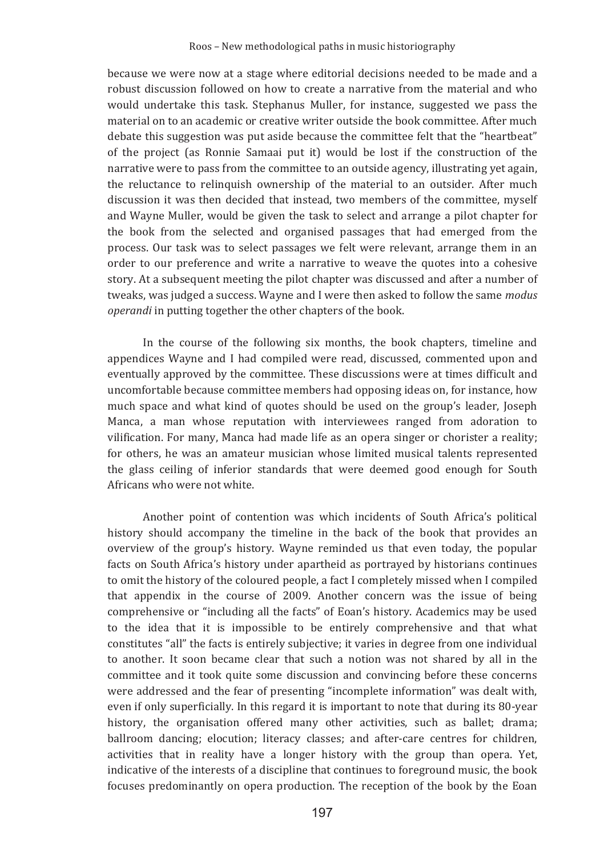because we were now at a stage where editorial decisions needed to be made and a robust discussion followed on how to create a narrative from the material and who would undertake this task. Stephanus Muller, for instance, suggested we pass the material on to an academic or creative writer outside the book committee. After much debate this suggestion was put aside because the committee felt that the "heartbeat" of the project (as Ronnie Samaai put it) would be lost if the construction of the narrative were to pass from the committee to an outside agency, illustrating yet again, the reluctance to relinquish ownership of the material to an outsider. After much discussion it was then decided that instead, two members of the committee, myself and Wayne Muller, would be given the task to select and arrange a pilot chapter for the book from the selected and organised passages that had emerged from the process. Our task was to select passages we felt were relevant, arrange them in an order to our preference and write a narrative to weave the quotes into a cohesive story. At a subsequent meeting the pilot chapter was discussed and after a number of tweaks, was judged a success. Wayne and I were then asked to follow the same modus operandi in putting together the other chapters of the book.

In the course of the following six months, the book chapters, timeline and appendices Wayne and I had compiled were read, discussed, commented upon and eventually approved by the committee. These discussions were at times difficult and uncomfortable because committee members had opposing ideas on, for instance, how much space and what kind of quotes should be used on the group's leader, Joseph Manca, a man whose reputation with interviewees ranged from adoration to vilification. For many, Manca had made life as an opera singer or chorister a reality; for others, he was an amateur musician whose limited musical talents represented the glass ceiling of inferior standards that were deemed good enough for South Africans who were not white.

Another point of contention was which incidents of South Africa's political history should accompany the timeline in the back of the book that provides an overview of the group's history. Wayne reminded us that even today, the popular facts on South Africa's history under apartheid as portrayed by historians continues to omit the history of the coloured people, a fact I completely missed when I compiled that appendix in the course of 2009. Another concern was the issue of being comprehensive or "including all the facts" of Eoan's history. Academics may be used to the idea that it is impossible to be entirely comprehensive and that what constitutes "all" the facts is entirely subjective; it varies in degree from one individual to another. It soon became clear that such a notion was not shared by all in the committee and it took quite some discussion and convincing before these concerns were addressed and the fear of presenting "incomplete information" was dealt with, even if only superficially. In this regard it is important to note that during its 80-year history, the organisation offered many other activities, such as ballet; drama; ballroom dancing; elocution; literacy classes; and after-care centres for children, activities that in reality have a longer history with the group than opera. Yet, indicative of the interests of a discipline that continues to foreground music, the book focuses predominantly on opera production. The reception of the book by the Eoan

197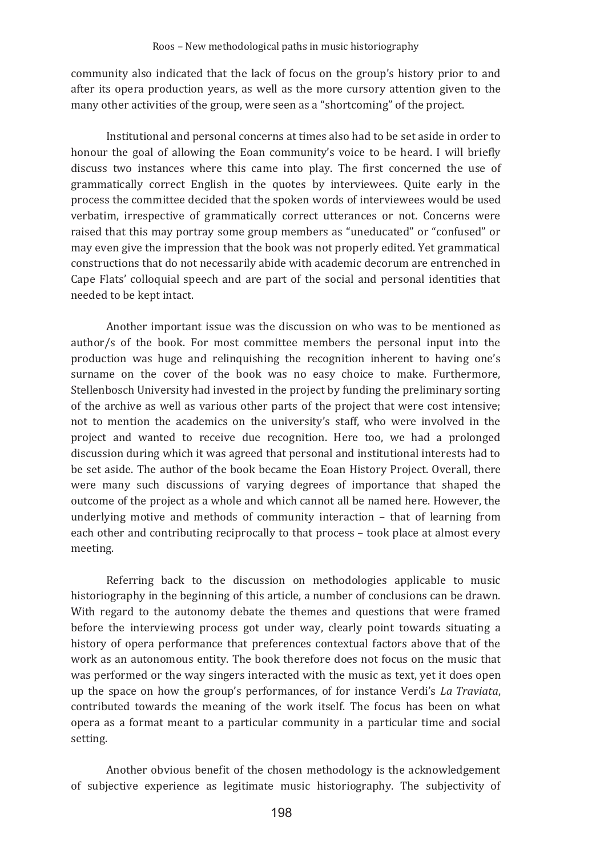community also indicated that the lack of focus on the group's history prior to and after its opera production years, as well as the more cursory attention given to the many other activities of the group, were seen as a "shortcoming" of the project.

Institutional and personal concerns at times also had to be set aside in order to honour the goal of allowing the Eoan community's voice to be heard. I will briefly discuss two instances where this came into play. The first concerned the use of grammatically correct English in the quotes by interviewees. Quite early in the process the committee decided that the spoken words of interviewees would be used verbatim, irrespective of grammatically correct utterances or not. Concerns were raised that this may portray some group members as "uneducated" or "confused" or may even give the impression that the book was not properly edited. Yet grammatical constructions that do not necessarily abide with academic decorum are entrenched in Cape Flats' colloquial speech and are part of the social and personal identities that needed to be kept intact.

Another important issue was the discussion on who was to be mentioned as author/s of the book. For most committee members the personal input into the production was huge and relinquishing the recognition inherent to having one's surname on the cover of the book was no easy choice to make. Furthermore, Stellenbosch University had invested in the project by funding the preliminary sorting of the archive as well as various other parts of the project that were cost intensive; not to mention the academics on the university's staff, who were involved in the project and wanted to receive due recognition. Here too, we had a prolonged discussion during which it was agreed that personal and institutional interests had to be set aside. The author of the book became the Eoan History Project. Overall, there were many such discussions of varying degrees of importance that shaped the outcome of the project as a whole and which cannot all be named here. However, the underlying motive and methods of community interaction - that of learning from each other and contributing reciprocally to that process - took place at almost every meeting.

Referring back to the discussion on methodologies applicable to music historiography in the beginning of this article, a number of conclusions can be drawn. With regard to the autonomy debate the themes and questions that were framed before the interviewing process got under way, clearly point towards situating a history of opera performance that preferences contextual factors above that of the work as an autonomous entity. The book therefore does not focus on the music that was performed or the way singers interacted with the music as text, yet it does open up the space on how the group's performances, of for instance Verdi's La Traviata, contributed towards the meaning of the work itself. The focus has been on what opera as a format meant to a particular community in a particular time and social setting.

Another obvious benefit of the chosen methodology is the acknowledgement of subjective experience as legitimate music historiography. The subjectivity of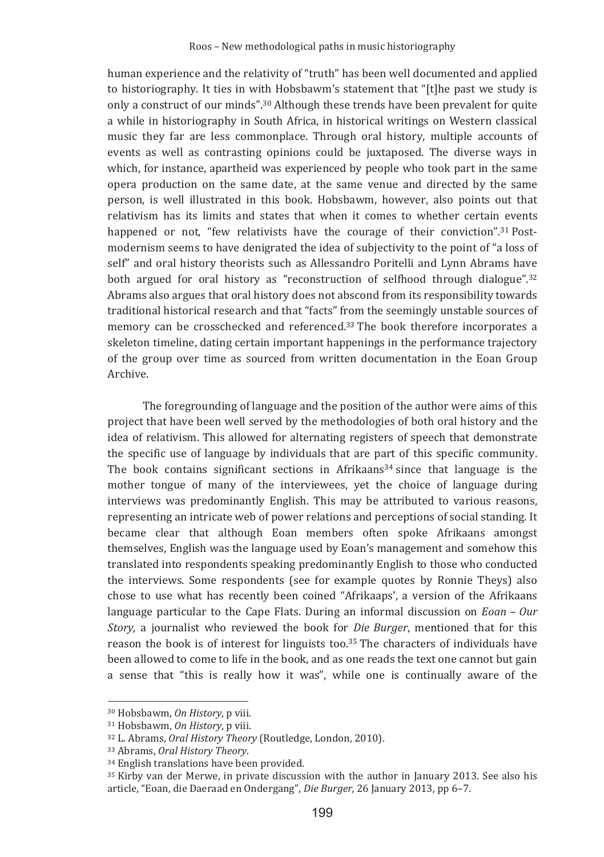human experience and the relativity of "truth" has been well documented and applied to historiography. It ties in with Hobsbawm's statement that "[t]he past we study is only a construct of our minds".<sup>30</sup> Although these trends have been prevalent for quite a while in historiography in South Africa, in historical writings on Western classical music they far are less commonplace. Through oral history, multiple accounts of events as well as contrasting opinions could be juxtaposed. The diverse ways in which, for instance, apartheid was experienced by people who took part in the same opera production on the same date, at the same venue and directed by the same person, is well illustrated in this book. Hobsbawm, however, also points out that relativism has its limits and states that when it comes to whether certain events happened or not, "few relativists have the courage of their conviction".<sup>31</sup> Postmodernism seems to have denigrated the idea of subjectivity to the point of "a loss of self" and oral history theorists such as Allessandro Poritelli and Lynn Abrams have both argued for oral history as "reconstruction of selfhood through dialogue".<sup>32</sup> Abrams also argues that oral history does not abscond from its responsibility towards traditional historical research and that "facts" from the seemingly unstable sources of memory can be crosschecked and referenced.<sup>33</sup> The book therefore incorporates a skeleton timeline, dating certain important happenings in the performance trajectory of the group over time as sourced from written documentation in the Eoan Group Archive.

The foregrounding of language and the position of the author were aims of this project that have been well served by the methodologies of both oral history and the idea of relativism. This allowed for alternating registers of speech that demonstrate the specific use of language by individuals that are part of this specific community. The book contains significant sections in Afrikaans<sup>34</sup> since that language is the mother tongue of many of the interviewees, yet the choice of language during interviews was predominantly English. This may be attributed to various reasons, representing an intricate web of power relations and perceptions of social standing. It became clear that although Eoan members often spoke Afrikaans amongst themselves, English was the language used by Eoan's management and somehow this translated into respondents speaking predominantly English to those who conducted the interviews. Some respondents (see for example quotes by Ronnie Theys) also chose to use what has recently been coined "Afrikaaps', a version of the Afrikaans language particular to the Cape Flats. During an informal discussion on  $Eoan - Our$ Story, a journalist who reviewed the book for Die Burger, mentioned that for this reason the book is of interest for linguists too.<sup>35</sup> The characters of individuals have been allowed to come to life in the book, and as one reads the text one cannot but gain a sense that "this is really how it was", while one is continually aware of the

<sup>&</sup>lt;sup>30</sup> Hobsbawm, On History, p viii.

<sup>&</sup>lt;sup>31</sup> Hobsbawm, On History, p viii.

<sup>&</sup>lt;sup>32</sup> L. Abrams. *Oral History Theory* (Routledge, London, 2010).

<sup>&</sup>lt;sup>33</sup> Abrams, Oral History Theory.

<sup>&</sup>lt;sup>34</sup> English translations have been provided.

<sup>&</sup>lt;sup>35</sup> Kirby van der Merwe, in private discussion with the author in January 2013. See also his article, "Eoan, die Daeraad en Ondergang", Die Burger, 26 January 2013, pp 6-7.